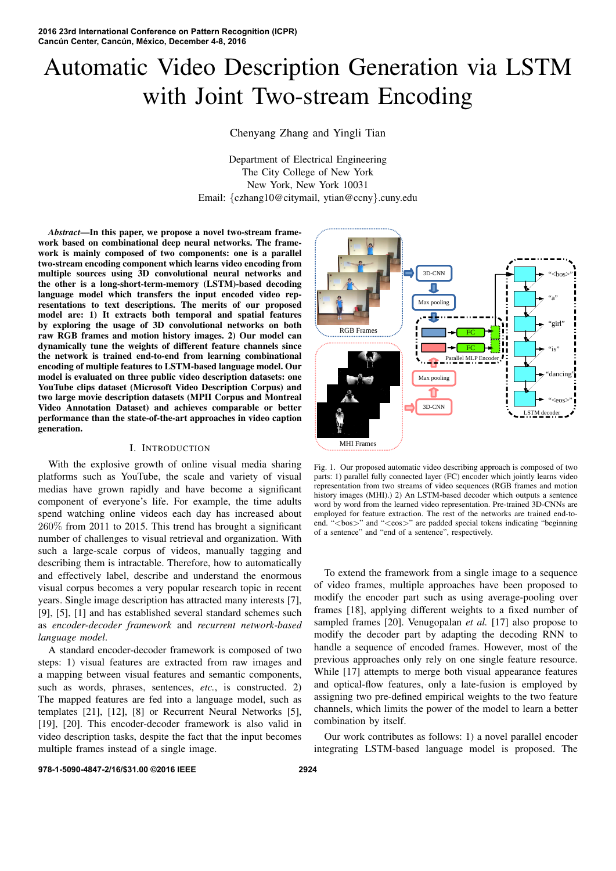# Automatic Video Description Generation via LSTM with Joint Two-stream Encoding

Chenyang Zhang and Yingli Tian

Department of Electrical Engineering The City College of New York New York, New York 10031 Email: {czhang10@citymail, ytian@ccny}.cuny.edu

*Abstract*—In this paper, we propose a novel two-stream framework based on combinational deep neural networks. The framework is mainly composed of two components: one is a parallel two-stream encoding component which learns video encoding from multiple sources using 3D convolutional neural networks and the other is a long-short-term-memory (LSTM)-based decoding language model which transfers the input encoded video representations to text descriptions. The merits of our proposed model are: 1) It extracts both temporal and spatial features by exploring the usage of 3D convolutional networks on both raw RGB frames and motion history images. 2) Our model can dynamically tune the weights of different feature channels since the network is trained end-to-end from learning combinational encoding of multiple features to LSTM-based language model. Our model is evaluated on three public video description datasets: one YouTube clips dataset (Microsoft Video Description Corpus) and two large movie description datasets (MPII Corpus and Montreal Video Annotation Dataset) and achieves comparable or better performance than the state-of-the-art approaches in video caption generation.

# I. INTRODUCTION

With the explosive growth of online visual media sharing platforms such as YouTube, the scale and variety of visual medias have grown rapidly and have become a significant component of everyone's life. For example, the time adults spend watching online videos each day has increased about 260% from 2011 to 2015. This trend has brought a significant number of challenges to visual retrieval and organization. With such a large-scale corpus of videos, manually tagging and describing them is intractable. Therefore, how to automatically and effectively label, describe and understand the enormous visual corpus becomes a very popular research topic in recent years. Single image description has attracted many interests [7], [9], [5], [1] and has established several standard schemes such as *encoder-decoder framework* and *recurrent network-based language model*.

A standard encoder-decoder framework is composed of two steps: 1) visual features are extracted from raw images and a mapping between visual features and semantic components, such as words, phrases, sentences, *etc.*, is constructed. 2) The mapped features are fed into a language model, such as templates [21], [12], [8] or Recurrent Neural Networks [5], [19], [20]. This encoder-decoder framework is also valid in video description tasks, despite the fact that the input becomes multiple frames instead of a single image.



Fig. 1. Our proposed automatic video describing approach is composed of two parts: 1) parallel fully connected layer (FC) encoder which jointly learns video representation from two streams of video sequences (RGB frames and motion history images (MHI).) 2) An LSTM-based decoder which outputs a sentence word by word from the learned video representation. Pre-trained 3D-CNNs are employed for feature extraction. The rest of the networks are trained end-toend. "<br/>bos>" and "<eos>" are padded special tokens indicating "beginning of a sentence" and "end of a sentence", respectively.

To extend the framework from a single image to a sequence of video frames, multiple approaches have been proposed to modify the encoder part such as using average-pooling over frames [18], applying different weights to a fixed number of sampled frames [20]. Venugopalan *et al.* [17] also propose to modify the decoder part by adapting the decoding RNN to handle a sequence of encoded frames. However, most of the previous approaches only rely on one single feature resource. While [17] attempts to merge both visual appearance features and optical-flow features, only a late-fusion is employed by assigning two pre-defined empirical weights to the two feature channels, which limits the power of the model to learn a better combination by itself.

Our work contributes as follows: 1) a novel parallel encoder integrating LSTM-based language model is proposed. The

#### **978-1-5090-4847-2/16/\$31.00 ©2016 IEEE 2924**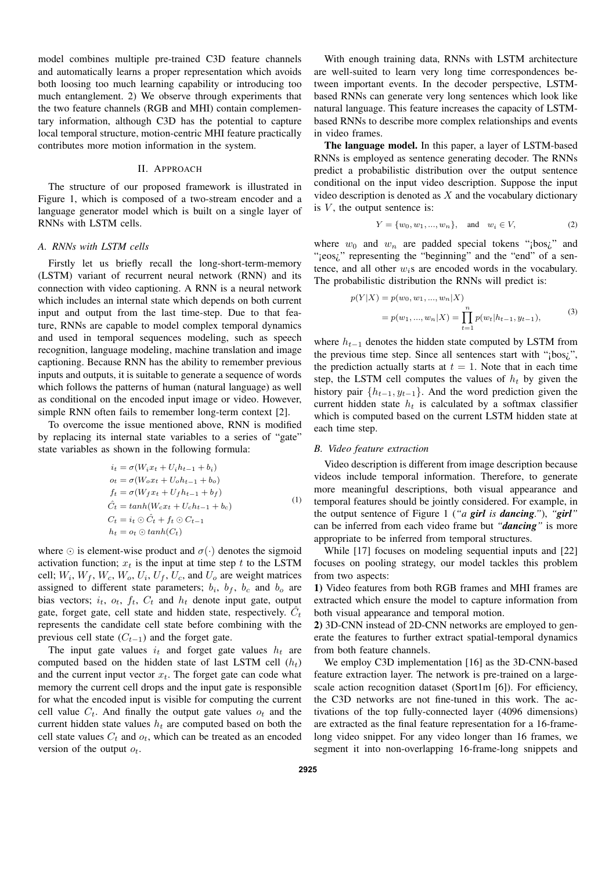model combines multiple pre-trained C3D feature channels and automatically learns a proper representation which avoids both loosing too much learning capability or introducing too much entanglement. 2) We observe through experiments that the two feature channels (RGB and MHI) contain complementary information, although C3D has the potential to capture local temporal structure, motion-centric MHI feature practically contributes more motion information in the system.

# II. APPROACH

The structure of our proposed framework is illustrated in Figure 1, which is composed of a two-stream encoder and a language generator model which is built on a single layer of RNNs with LSTM cells.

### *A. RNNs with LSTM cells*

Firstly let us briefly recall the long-short-term-memory (LSTM) variant of recurrent neural network (RNN) and its connection with video captioning. A RNN is a neural network which includes an internal state which depends on both current input and output from the last time-step. Due to that feature, RNNs are capable to model complex temporal dynamics and used in temporal sequences modeling, such as speech recognition, language modeling, machine translation and image captioning. Because RNN has the ability to remember previous inputs and outputs, it is suitable to generate a sequence of words which follows the patterns of human (natural language) as well as conditional on the encoded input image or video. However, simple RNN often fails to remember long-term context [2].

To overcome the issue mentioned above, RNN is modified by replacing its internal state variables to a series of "gate" state variables as shown in the following formula:

$$
i_t = \sigma(W_i x_t + U_i h_{t-1} + b_i)
$$
  
\n
$$
\sigma_t = \sigma(W_0 x_t + U_0 h_{t-1} + b_0)
$$
  
\n
$$
f_t = \sigma(W_f x_t + U_f h_{t-1} + b_f)
$$
  
\n
$$
\hat{C}_t = \tanh(W_c x_t + U_c h_{t-1} + b_c)
$$
  
\n
$$
C_t = i_t \odot \hat{C}_t + f_t \odot C_{t-1}
$$
  
\n
$$
h_t = o_t \odot \tanh(C_t)
$$
\n(1)

where  $\odot$  is element-wise product and  $\sigma(\cdot)$  denotes the sigmoid activation function;  $x_t$  is the input at time step t to the LSTM cell;  $W_i$ ,  $W_f$ ,  $W_c$ ,  $W_o$ ,  $U_i$ ,  $U_f$ ,  $U_c$ , and  $U_o$  are weight matrices assigned to different state parameters;  $b_i$ ,  $b_f$ ,  $b_c$  and  $b_o$  are bias vectors;  $i_t$ ,  $o_t$ ,  $f_t$ ,  $C_t$  and  $h_t$  denote input gate, output gate, forget gate, cell state and hidden state, respectively.  $\hat{C}_t$ represents the candidate cell state before combining with the previous cell state  $(C_{t-1})$  and the forget gate.

The input gate values  $i_t$  and forget gate values  $h_t$  are computed based on the hidden state of last LSTM cell  $(h_t)$ and the current input vector  $x_t$ . The forget gate can code what memory the current cell drops and the input gate is responsible for what the encoded input is visible for computing the current cell value  $C_t$ . And finally the output gate values  $o_t$  and the current hidden state values  $h_t$  are computed based on both the cell state values  $C_t$  and  $o_t$ , which can be treated as an encoded version of the output  $o_t$ .

With enough training data, RNNs with LSTM architecture are well-suited to learn very long time correspondences between important events. In the decoder perspective, LSTMbased RNNs can generate very long sentences which look like natural language. This feature increases the capacity of LSTMbased RNNs to describe more complex relationships and events in video frames.

The language model. In this paper, a layer of LSTM-based RNNs is employed as sentence generating decoder. The RNNs predict a probabilistic distribution over the output sentence conditional on the input video description. Suppose the input video description is denoted as  $X$  and the vocabulary dictionary is  $V$ , the output sentence is:

$$
Y = \{w_0, w_1, ..., w_n\}, \text{ and } w_i \in V,
$$
 (2)

where  $w_0$  and  $w_n$  are padded special tokens ";bos;" and "jeos<sub>i</sub>" representing the "beginning" and the "end" of a sentence, and all other  $w_i$ s are encoded words in the vocabulary. The probabilistic distribution the RNNs will predict is:

$$
p(Y|X) = p(w_0, w_1, ..., w_n|X)
$$
  
=  $p(w_1, ..., w_n|X) = \prod_{t=1}^{n} p(w_t|h_{t-1}, y_{t-1}),$  (3)

where  $h_{t-1}$  denotes the hidden state computed by LSTM from the previous time step. Since all sentences start with " $ibos$ ",", the prediction actually starts at  $t = 1$ . Note that in each time step, the LSTM cell computes the values of  $h_t$  by given the history pair  $\{h_{t-1}, y_{t-1}\}$ . And the word prediction given the current hidden state  $h_t$  is calculated by a softmax classifier which is computed based on the current LSTM hidden state at each time step.

#### *B. Video feature extraction*

Video description is different from image description because videos include temporal information. Therefore, to generate more meaningful descriptions, both visual appearance and temporal features should be jointly considered. For example, in the output sentence of Figure 1 (*"a girl is dancing."*), *"girl"* can be inferred from each video frame but *"dancing"* is more appropriate to be inferred from temporal structures.

While [17] focuses on modeling sequential inputs and [22] focuses on pooling strategy, our model tackles this problem from two aspects:

1) Video features from both RGB frames and MHI frames are extracted which ensure the model to capture information from both visual appearance and temporal motion.

2) 3D-CNN instead of 2D-CNN networks are employed to generate the features to further extract spatial-temporal dynamics from both feature channels.

We employ C3D implementation [16] as the 3D-CNN-based feature extraction layer. The network is pre-trained on a largescale action recognition dataset (Sport1m [6]). For efficiency, the C3D networks are not fine-tuned in this work. The activations of the top fully-connected layer (4096 dimensions) are extracted as the final feature representation for a 16-framelong video snippet. For any video longer than 16 frames, we segment it into non-overlapping 16-frame-long snippets and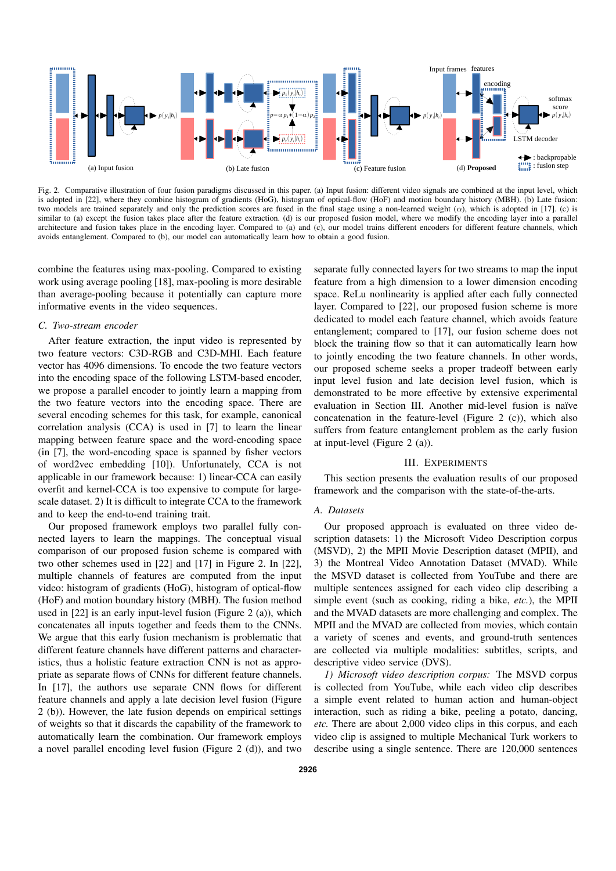

Fig. 2. Comparative illustration of four fusion paradigms discussed in this paper. (a) Input fusion: different video signals are combined at the input level, which is adopted in [22], where they combine histogram of gradients (HoG), histogram of optical-flow (HoF) and motion boundary history (MBH). (b) Late fusion: two models are trained separately and only the prediction scores are fused in the final stage using a non-learned weight  $(\alpha)$ , which is adopted in [17]. (c) is similar to (a) except the fusion takes place after the feature extraction. (d) is our proposed fusion model, where we modify the encoding layer into a parallel architecture and fusion takes place in the encoding layer. Compared to (a) and (c), our model trains different encoders for different feature channels, which avoids entanglement. Compared to (b), our model can automatically learn how to obtain a good fusion.

combine the features using max-pooling. Compared to existing work using average pooling [18], max-pooling is more desirable than average-pooling because it potentially can capture more informative events in the video sequences.

# *C. Two-stream encoder*

After feature extraction, the input video is represented by two feature vectors: C3D-RGB and C3D-MHI. Each feature vector has 4096 dimensions. To encode the two feature vectors into the encoding space of the following LSTM-based encoder, we propose a parallel encoder to jointly learn a mapping from the two feature vectors into the encoding space. There are several encoding schemes for this task, for example, canonical correlation analysis (CCA) is used in [7] to learn the linear mapping between feature space and the word-encoding space (in [7], the word-encoding space is spanned by fisher vectors of word2vec embedding [10]). Unfortunately, CCA is not applicable in our framework because: 1) linear-CCA can easily overfit and kernel-CCA is too expensive to compute for largescale dataset. 2) It is difficult to integrate CCA to the framework and to keep the end-to-end training trait.

Our proposed framework employs two parallel fully connected layers to learn the mappings. The conceptual visual comparison of our proposed fusion scheme is compared with two other schemes used in [22] and [17] in Figure 2. In [22], multiple channels of features are computed from the input video: histogram of gradients (HoG), histogram of optical-flow (HoF) and motion boundary history (MBH). The fusion method used in [22] is an early input-level fusion (Figure 2 (a)), which concatenates all inputs together and feeds them to the CNNs. We argue that this early fusion mechanism is problematic that different feature channels have different patterns and characteristics, thus a holistic feature extraction CNN is not as appropriate as separate flows of CNNs for different feature channels. In [17], the authors use separate CNN flows for different feature channels and apply a late decision level fusion (Figure 2 (b)). However, the late fusion depends on empirical settings of weights so that it discards the capability of the framework to automatically learn the combination. Our framework employs a novel parallel encoding level fusion (Figure 2 (d)), and two

separate fully connected layers for two streams to map the input feature from a high dimension to a lower dimension encoding space. ReLu nonlinearity is applied after each fully connected layer. Compared to [22], our proposed fusion scheme is more dedicated to model each feature channel, which avoids feature entanglement; compared to [17], our fusion scheme does not block the training flow so that it can automatically learn how to jointly encoding the two feature channels. In other words, our proposed scheme seeks a proper tradeoff between early input level fusion and late decision level fusion, which is demonstrated to be more effective by extensive experimental evaluation in Section III. Another mid-level fusion is naïve concatenation in the feature-level (Figure 2 (c)), which also suffers from feature entanglement problem as the early fusion at input-level (Figure 2 (a)).

#### III. EXPERIMENTS

This section presents the evaluation results of our proposed framework and the comparison with the state-of-the-arts.

#### *A. Datasets*

Our proposed approach is evaluated on three video description datasets: 1) the Microsoft Video Description corpus (MSVD), 2) the MPII Movie Description dataset (MPII), and 3) the Montreal Video Annotation Dataset (MVAD). While the MSVD dataset is collected from YouTube and there are multiple sentences assigned for each video clip describing a simple event (such as cooking, riding a bike, *etc.*), the MPII and the MVAD datasets are more challenging and complex. The MPII and the MVAD are collected from movies, which contain a variety of scenes and events, and ground-truth sentences are collected via multiple modalities: subtitles, scripts, and descriptive video service (DVS).

*1) Microsoft video description corpus:* The MSVD corpus is collected from YouTube, while each video clip describes a simple event related to human action and human-object interaction, such as riding a bike, peeling a potato, dancing, *etc.* There are about 2,000 video clips in this corpus, and each video clip is assigned to multiple Mechanical Turk workers to describe using a single sentence. There are 120,000 sentences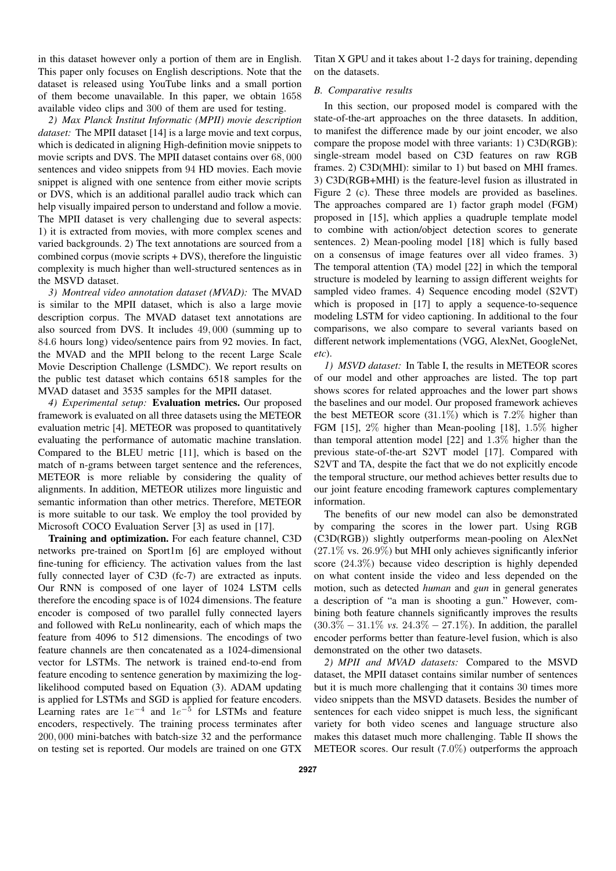in this dataset however only a portion of them are in English. This paper only focuses on English descriptions. Note that the dataset is released using YouTube links and a small portion of them become unavailable. In this paper, we obtain 1658 available video clips and 300 of them are used for testing.

*2) Max Planck Institut Informatic (MPII) movie description dataset:* The MPII dataset [14] is a large movie and text corpus, which is dedicated in aligning High-definition movie snippets to movie scripts and DVS. The MPII dataset contains over 68, 000 sentences and video snippets from 94 HD movies. Each movie snippet is aligned with one sentence from either movie scripts or DVS, which is an additional parallel audio track which can help visually impaired person to understand and follow a movie. The MPII dataset is very challenging due to several aspects: 1) it is extracted from movies, with more complex scenes and varied backgrounds. 2) The text annotations are sourced from a combined corpus (movie scripts + DVS), therefore the linguistic complexity is much higher than well-structured sentences as in the MSVD dataset.

*3) Montreal video annotation dataset (MVAD):* The MVAD is similar to the MPII dataset, which is also a large movie description corpus. The MVAD dataset text annotations are also sourced from DVS. It includes 49, 000 (summing up to 84.6 hours long) video/sentence pairs from 92 movies. In fact, the MVAD and the MPII belong to the recent Large Scale Movie Description Challenge (LSMDC). We report results on the public test dataset which contains 6518 samples for the MVAD dataset and 3535 samples for the MPII dataset.

*4) Experimental setup:* Evaluation metrics. Our proposed framework is evaluated on all three datasets using the METEOR evaluation metric [4]. METEOR was proposed to quantitatively evaluating the performance of automatic machine translation. Compared to the BLEU metric [11], which is based on the match of n-grams between target sentence and the references, METEOR is more reliable by considering the quality of alignments. In addition, METEOR utilizes more linguistic and semantic information than other metrics. Therefore, METEOR is more suitable to our task. We employ the tool provided by Microsoft COCO Evaluation Server [3] as used in [17].

Training and optimization. For each feature channel, C3D networks pre-trained on Sport1m [6] are employed without fine-tuning for efficiency. The activation values from the last fully connected layer of C3D (fc-7) are extracted as inputs. Our RNN is composed of one layer of 1024 LSTM cells therefore the encoding space is of 1024 dimensions. The feature encoder is composed of two parallel fully connected layers and followed with ReLu nonlinearity, each of which maps the feature from 4096 to 512 dimensions. The encodings of two feature channels are then concatenated as a 1024-dimensional vector for LSTMs. The network is trained end-to-end from feature encoding to sentence generation by maximizing the loglikelihood computed based on Equation (3). ADAM updating is applied for LSTMs and SGD is applied for feature encoders. Learning rates are  $1e^{-4}$  and  $1e^{-5}$  for LSTMs and feature encoders, respectively. The training process terminates after 200, 000 mini-batches with batch-size 32 and the performance on testing set is reported. Our models are trained on one GTX Titan X GPU and it takes about 1-2 days for training, depending on the datasets.

# *B. Comparative results*

In this section, our proposed model is compared with the state-of-the-art approaches on the three datasets. In addition, to manifest the difference made by our joint encoder, we also compare the propose model with three variants: 1) C3D(RGB): single-stream model based on C3D features on raw RGB frames. 2) C3D(MHI): similar to 1) but based on MHI frames. 3) C3D(RGB+MHI) is the feature-level fusion as illustrated in Figure 2 (c). These three models are provided as baselines. The approaches compared are 1) factor graph model (FGM) proposed in [15], which applies a quadruple template model to combine with action/object detection scores to generate sentences. 2) Mean-pooling model [18] which is fully based on a consensus of image features over all video frames. 3) The temporal attention (TA) model [22] in which the temporal structure is modeled by learning to assign different weights for sampled video frames. 4) Sequence encoding model (S2VT) which is proposed in [17] to apply a sequence-to-sequence modeling LSTM for video captioning. In additional to the four comparisons, we also compare to several variants based on different network implementations (VGG, AlexNet, GoogleNet, *etc*).

*1) MSVD dataset:* In Table I, the results in METEOR scores of our model and other approaches are listed. The top part shows scores for related approaches and the lower part shows the baselines and our model. Our proposed framework achieves the best METEOR score  $(31.1\%)$  which is 7.2% higher than FGM [15], 2% higher than Mean-pooling [18], 1.5% higher than temporal attention model [22] and 1.3% higher than the previous state-of-the-art S2VT model [17]. Compared with S2VT and TA, despite the fact that we do not explicitly encode the temporal structure, our method achieves better results due to our joint feature encoding framework captures complementary information.

The benefits of our new model can also be demonstrated by comparing the scores in the lower part. Using RGB (C3D(RGB)) slightly outperforms mean-pooling on AlexNet  $(27.1\% \text{ vs. } 26.9\%)$  but MHI only achieves significantly inferior score (24.3%) because video description is highly depended on what content inside the video and less depended on the motion, such as detected *human* and *gun* in general generates a description of "a man is shooting a gun." However, combining both feature channels significantly improves the results (30.3% − 31.1% *vs.* 24.3% − 27.1%). In addition, the parallel encoder performs better than feature-level fusion, which is also demonstrated on the other two datasets.

*2) MPII and MVAD datasets:* Compared to the MSVD dataset, the MPII dataset contains similar number of sentences but it is much more challenging that it contains 30 times more video snippets than the MSVD datasets. Besides the number of sentences for each video snippet is much less, the significant variety for both video scenes and language structure also makes this dataset much more challenging. Table II shows the METEOR scores. Our result (7.0%) outperforms the approach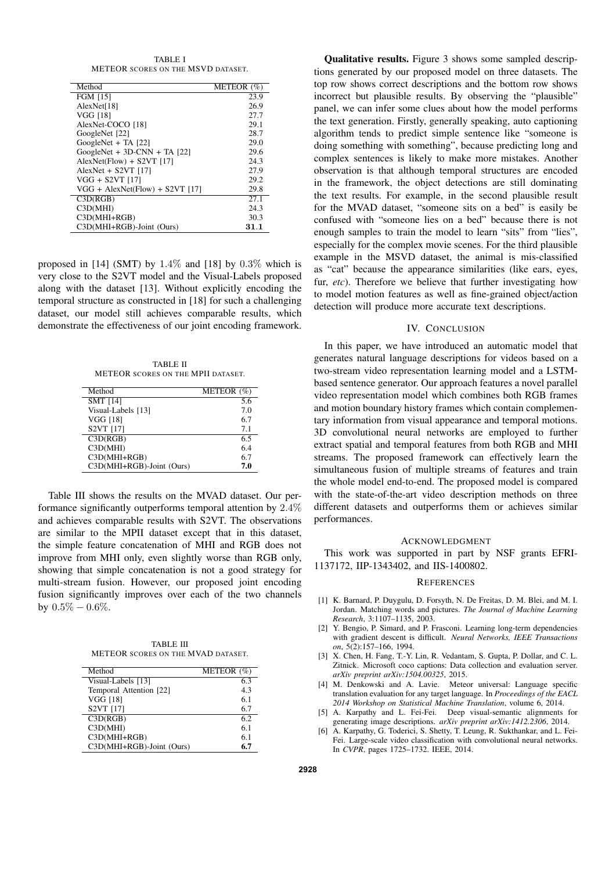TABLE I METEOR SCORES ON THE MSVD DATASET.

| Method                            | METEOR $(\%)$ |
|-----------------------------------|---------------|
|                                   |               |
| FGM [15]                          | 23.9          |
| AlexNet[18]                       | 26.9          |
| <b>VGG [18]</b>                   | 27.7          |
| AlexNet-COCO [18]                 | 29.1          |
| GoogleNet [22]                    | 28.7          |
| GoogleNet + TA $[22]$             | 29.0          |
| GoogleNet + $3D-CNN + TA$ [22]    | 29.6          |
| $AlexNet(Flow) + S2VT [17]$       | 24.3          |
| $AlexNet + S2VT [17]$             | 27.9          |
| $VGG + S2VT [17]$                 | 29.2          |
| $VGG + AlexNet(Flow) + S2VT [17]$ | 29.8          |
| C3D(RGB)                          | 27.1          |
| C3D(MHI)                          | 24.3          |
| C3D(MHI+RGB)                      | 30.3          |
| C3D(MHI+RGB)-Joint (Ours)         | 31.1          |

proposed in [14] (SMT) by  $1.4\%$  and [18] by  $0.3\%$  which is very close to the S2VT model and the Visual-Labels proposed along with the dataset [13]. Without explicitly encoding the temporal structure as constructed in [18] for such a challenging dataset, our model still achieves comparable results, which demonstrate the effectiveness of our joint encoding framework.

TABLE II METEOR SCORES ON THE MPII DATASET.

| Method                    | METEOR $(\% )$ |
|---------------------------|----------------|
| <b>SMT</b> [14]           | 5.6            |
| Visual-Labels [13]        | 7.0            |
| VGG [18]                  | 67             |
| S2VT [17]                 | 7.1            |
| C3D(RGB)                  | 65             |
| C3D(MHI)                  | 64             |
| C3D(MHI+RGB)              | 6.7            |
| C3D(MHI+RGB)-Joint (Ours) | 7.0            |

Table III shows the results on the MVAD dataset. Our performance significantly outperforms temporal attention by 2.4% and achieves comparable results with S2VT. The observations are similar to the MPII dataset except that in this dataset, the simple feature concatenation of MHI and RGB does not improve from MHI only, even slightly worse than RGB only, showing that simple concatenation is not a good strategy for multi-stream fusion. However, our proposed joint encoding fusion significantly improves over each of the two channels by  $0.5\% - 0.6\%$ .

TABLE III METEOR SCORES ON THE MVAD DATASET.

| Method                    | METEOR $(\% )$ |
|---------------------------|----------------|
| Visual-Labels [13]        | 6.3            |
| Temporal Attention [22]   | 43             |
| <b>VGG [18]</b>           | 6.1            |
| S2VT [17]                 | 6.7            |
| C3D(RGB)                  | 62             |
| C3D(MHI)                  | 6.1            |
| C3D(MHI+RGB)              | 6.1            |
| C3D(MHI+RGB)-Joint (Ours) | 6.7            |

Qualitative results. Figure 3 shows some sampled descriptions generated by our proposed model on three datasets. The top row shows correct descriptions and the bottom row shows incorrect but plausible results. By observing the "plausible" panel, we can infer some clues about how the model performs the text generation. Firstly, generally speaking, auto captioning algorithm tends to predict simple sentence like "someone is doing something with something", because predicting long and complex sentences is likely to make more mistakes. Another observation is that although temporal structures are encoded in the framework, the object detections are still dominating the text results. For example, in the second plausible result for the MVAD dataset, "someone sits on a bed" is easily be confused with "someone lies on a bed" because there is not enough samples to train the model to learn "sits" from "lies", especially for the complex movie scenes. For the third plausible example in the MSVD dataset, the animal is mis-classified as "cat" because the appearance similarities (like ears, eyes, fur, *etc*). Therefore we believe that further investigating how to model motion features as well as fine-grained object/action detection will produce more accurate text descriptions.

# IV. CONCLUSION

In this paper, we have introduced an automatic model that generates natural language descriptions for videos based on a two-stream video representation learning model and a LSTMbased sentence generator. Our approach features a novel parallel video representation model which combines both RGB frames and motion boundary history frames which contain complementary information from visual appearance and temporal motions. 3D convolutional neural networks are employed to further extract spatial and temporal features from both RGB and MHI streams. The proposed framework can effectively learn the simultaneous fusion of multiple streams of features and train the whole model end-to-end. The proposed model is compared with the state-of-the-art video description methods on three different datasets and outperforms them or achieves similar performances.

#### ACKNOWLEDGMENT

This work was supported in part by NSF grants EFRI-1137172, IIP-1343402, and IIS-1400802.

#### **REFERENCES**

- [1] K. Barnard, P. Duygulu, D. Forsyth, N. De Freitas, D. M. Blei, and M. I. Jordan. Matching words and pictures. *The Journal of Machine Learning Research*, 3:1107–1135, 2003.
- [2] Y. Bengio, P. Simard, and P. Frasconi. Learning long-term dependencies with gradient descent is difficult. *Neural Networks, IEEE Transactions on*, 5(2):157–166, 1994.
- [3] X. Chen, H. Fang, T.-Y. Lin, R. Vedantam, S. Gupta, P. Dollar, and C. L. Zitnick. Microsoft coco captions: Data collection and evaluation server. *arXiv preprint arXiv:1504.00325*, 2015.
- [4] M. Denkowski and A. Lavie. Meteor universal: Language specific translation evaluation for any target language. In *Proceedings of the EACL 2014 Workshop on Statistical Machine Translation*, volume 6, 2014.
- [5] A. Karpathy and L. Fei-Fei. Deep visual-semantic alignments for generating image descriptions. *arXiv preprint arXiv:1412.2306*, 2014.
- [6] A. Karpathy, G. Toderici, S. Shetty, T. Leung, R. Sukthankar, and L. Fei-Fei. Large-scale video classification with convolutional neural networks. In *CVPR*, pages 1725–1732. IEEE, 2014.